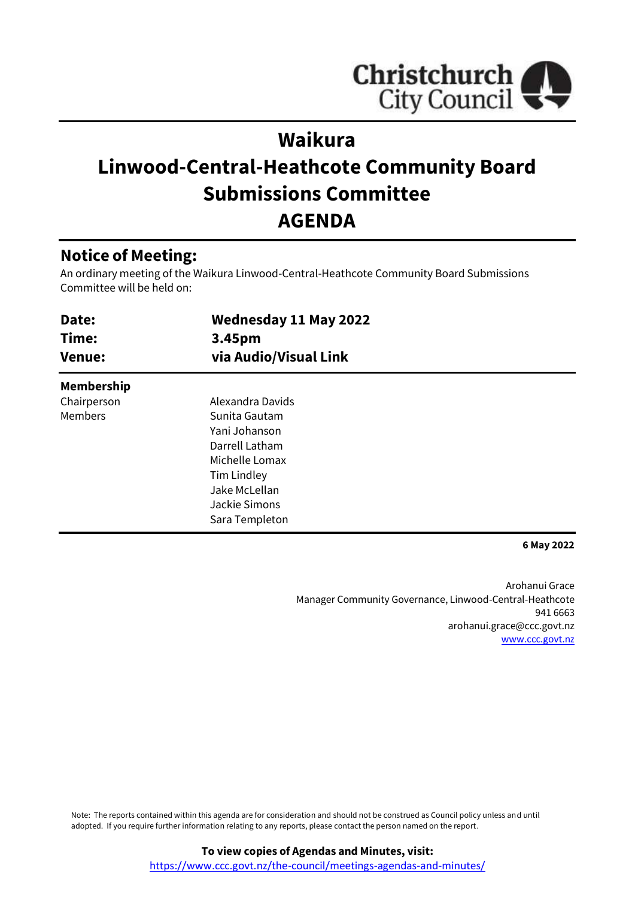

# **Waikura**

# **Linwood-Central-Heathcote Community Board Submissions Committee AGENDA**

## **Notice of Meeting:**

An ordinary meeting of the Waikura Linwood-Central-Heathcote Community Board Submissions Committee will be held on:

| Date:<br>Time:<br><b>Venue:</b> | <b>Wednesday 11 May 2022</b><br>3.45pm<br>via Audio/Visual Link                                                                                           |  |
|---------------------------------|-----------------------------------------------------------------------------------------------------------------------------------------------------------|--|
| <b>Membership</b>               |                                                                                                                                                           |  |
| Chairperson<br><b>Members</b>   | Alexandra Davids<br>Sunita Gautam<br>Yani Johanson<br>Darrell Latham<br>Michelle Lomax<br>Tim Lindley<br>Jake McLellan<br>Jackie Simons<br>Sara Templeton |  |

**6 May 2022**

Arohanui Grace Manager Community Governance, Linwood-Central-Heathcote 941 6663 arohanui.grace@ccc.govt.nz [www.ccc.govt.nz](http://www.ccc.govt.nz/)

Note: The reports contained within this agenda are for consideration and should not be construed as Council policy unless and until adopted. If you require further information relating to any reports, please contact the person named on the report.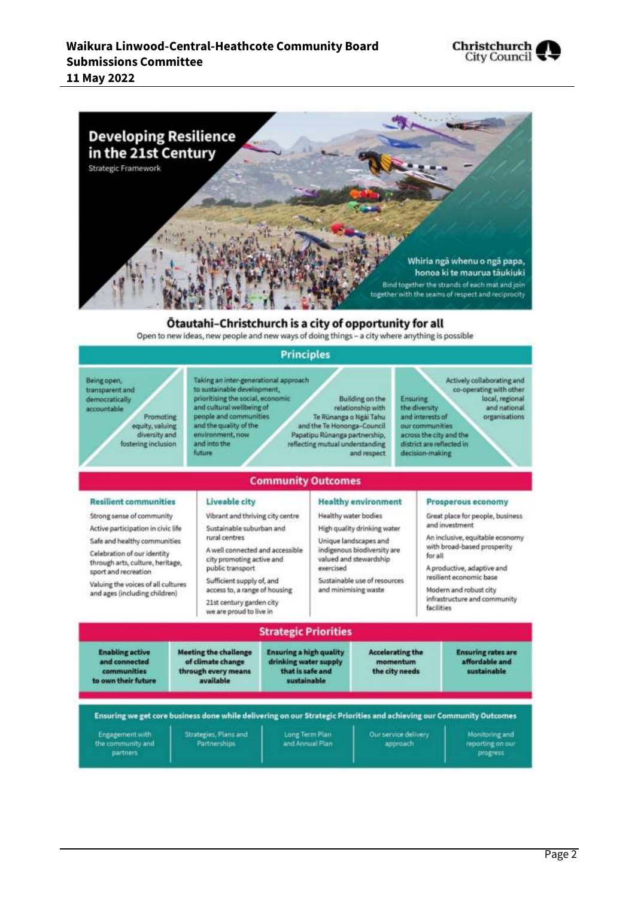



#### Otautahi-Christchurch is a city of opportunity for all

Open to new ideas, new people and new ways of doing things - a city where anything is possible

#### **Principles**

Taking an inter-generational approach Actively collaborating and Being open. to sustainable development, co-operating with other transparent and prioritising the social, economic Ensuring **Building on the** local, regional democratically and cultural wellbeing of the diversity relationship with and national accountable people and communities and interests of Promoting organisations Te Rünanga o Ngài Tahu and the quality of the and the Te Hononga-Council equity, valuing our communities diversity and environment, now Papatipu Rünanga partnership, across the city and the fostering inclusion and into the reflecting mutual understanding district are reflected in **future** decision-making and respect **Community Outcomes Resilient communities** Liveable city **Healthy environment** Prosperous economy Strong sense of community Vibrant and thriving city centre Healthy water bodies Great place for people, business and investment Sustainable suburban and Active participation in civic life High quality drinking water An inclusive, equitable economy rural centres. Safe and healthy communities Unique landscapes and with broad-based prosperity A well connected and accessible indigenous biodiversity are Celebration of our identity for all city promoting active and valued and stewardship through arts, culture, heritage, public transport A productive, adaptive and exercised sport and recreation resilient economic base Sustainable use of resources Sufficient supply of, and Valuing the voices of all cultures and minimising waste access to, a range of housing Modern and robust city and ages (including children) infrastructure and community 21st century garden city facilities we are proud to live in **Strategic Priorities Enabling active Meeting the challenge Accelerating the Ensuring a high quality Ensuring rates are** drinking water supply and connected of climate change affordable and momentum through every means<br>available that is safe and the city needs sustainable communities to own their future sustainable Ensuring we get core business done while delivering on our Strategic Priorities and achieving our Community Outcomes Long Term Plan Engagement with Strategies, Plans and Our service delivery **Monitoring and** the community and<br>partners Partnerships and Annual Plan approach reporting on our progress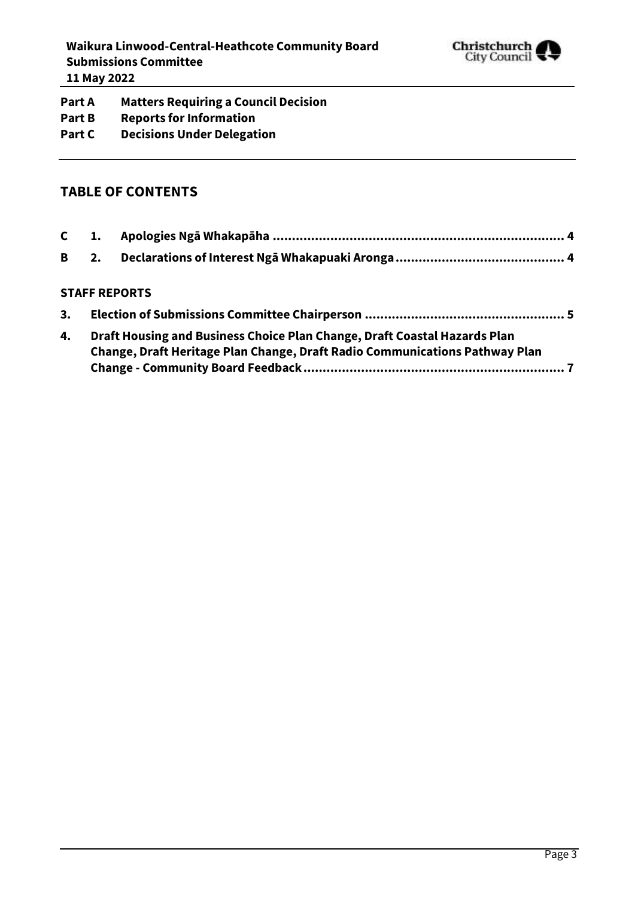

**Part A Matters Requiring a Council Decision Part B Reports for Information Part C Decisions Under Delegation**

### **TABLE OF CONTENTS**

#### **STAFF REPORTS**

| 3. |                                                                             |
|----|-----------------------------------------------------------------------------|
| 4. | Draft Housing and Business Choice Plan Change, Draft Coastal Hazards Plan   |
|    | Change, Draft Heritage Plan Change, Draft Radio Communications Pathway Plan |
|    |                                                                             |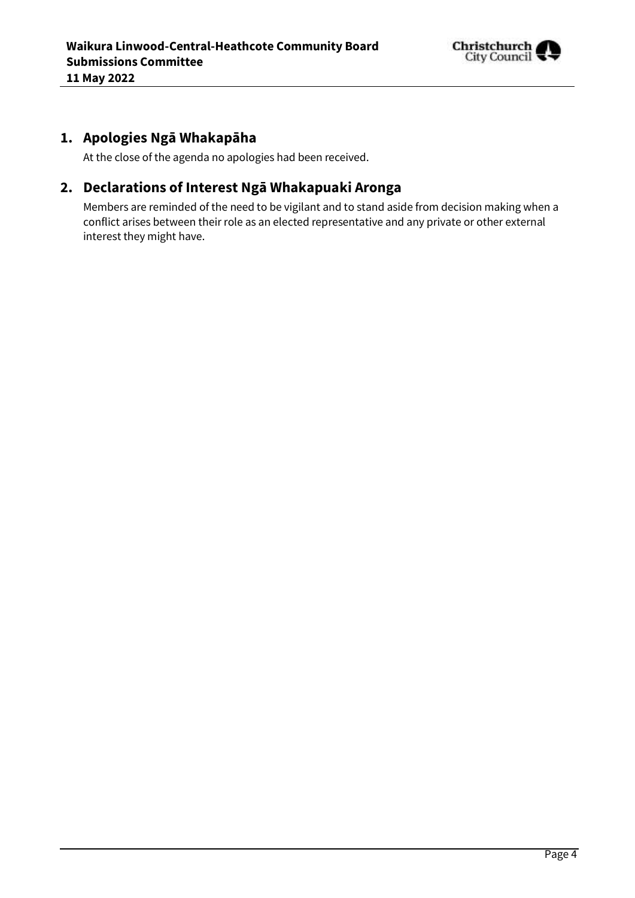

## <span id="page-3-0"></span>**1. Apologies Ngā Whakapāha**

At the close of the agenda no apologies had been received.

## <span id="page-3-1"></span>**2. Declarations of Interest Ngā Whakapuaki Aronga**

Members are reminded of the need to be vigilant and to stand aside from decision making when a conflict arises between their role as an elected representative and any private or other external interest they might have.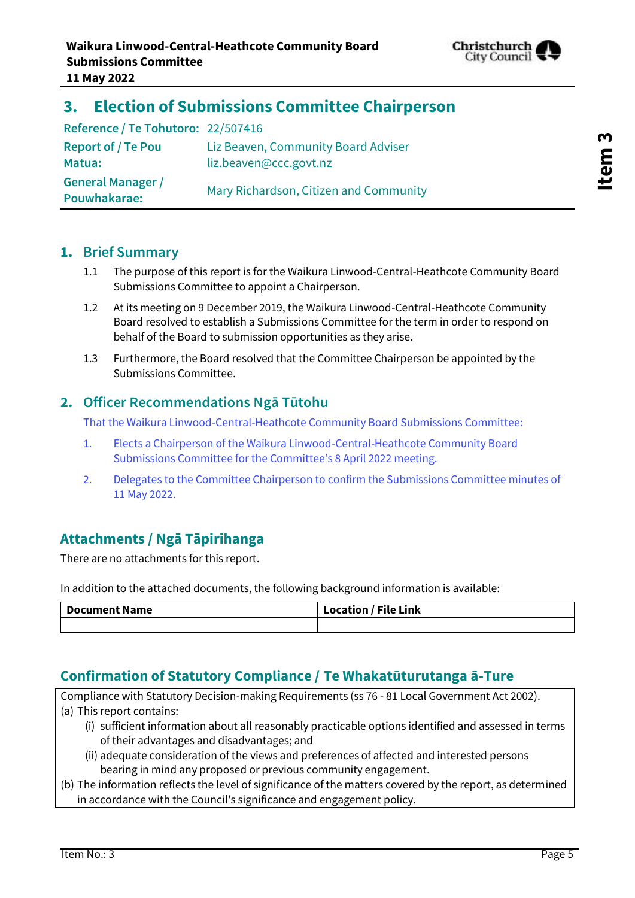

## <span id="page-4-0"></span>**3. Election of Submissions Committee Chairperson**

**Reference / Te Tohutoro:** 22/507416 **Report of / Te Pou Matua:** Liz Beaven, Community Board Adviser liz.beaven@ccc.govt.nz **General Manager / Pouwhakarae:** Mary Richardson, Citizen and Community

#### **1. Brief Summary**

- 1.1 The purpose of this report is for the Waikura Linwood-Central-Heathcote Community Board Submissions Committee to appoint a Chairperson.
- 1.2 At its meeting on 9 December 2019, the Waikura Linwood-Central-Heathcote Community Board resolved to establish a Submissions Committee for the term in order to respond on behalf of the Board to submission opportunities as they arise.
- 1.3 Furthermore, the Board resolved that the Committee Chairperson be appointed by the Submissions Committee.

#### **2. Officer Recommendations Ngā Tūtohu**

That the Waikura Linwood-Central-Heathcote Community Board Submissions Committee:

- 1. Elects a Chairperson of the Waikura Linwood-Central-Heathcote Community Board Submissions Committee for the Committee's 8 April 2022 meeting.
- 2. Delegates to the Committee Chairperson to confirm the Submissions Committee minutes of 11 May 2022.

## **Attachments / Ngā Tāpirihanga**

There are no attachments for this report.

In addition to the attached documents, the following background information is available:

| <b>Document Name</b> | <b>Location / File Link</b> |
|----------------------|-----------------------------|
|                      |                             |

### **Confirmation of Statutory Compliance / Te Whakatūturutanga ā-Ture**

Compliance with Statutory Decision-making Requirements (ss 76 - 81 Local Government Act 2002). (a) This report contains:

- (i) sufficient information about all reasonably practicable options identified and assessed in terms of their advantages and disadvantages; and
- (ii) adequate consideration of the views and preferences of affected and interested persons bearing in mind any proposed or previous community engagement.
- (b) The information reflects the level of significance of the matters covered by the report, as determined in accordance with the Council's significance and engagement policy.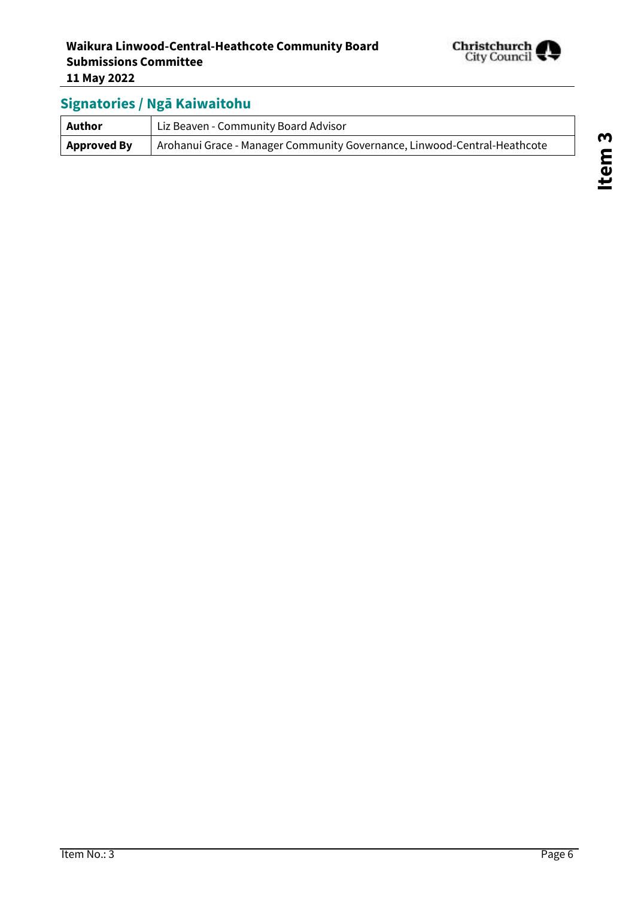

## **Signatories / Ngā Kaiwaitohu**

| Author             | Liz Beaven - Community Board Advisor                                     |  |
|--------------------|--------------------------------------------------------------------------|--|
| <b>Approved By</b> | Arohanui Grace - Manager Community Governance, Linwood-Central-Heathcote |  |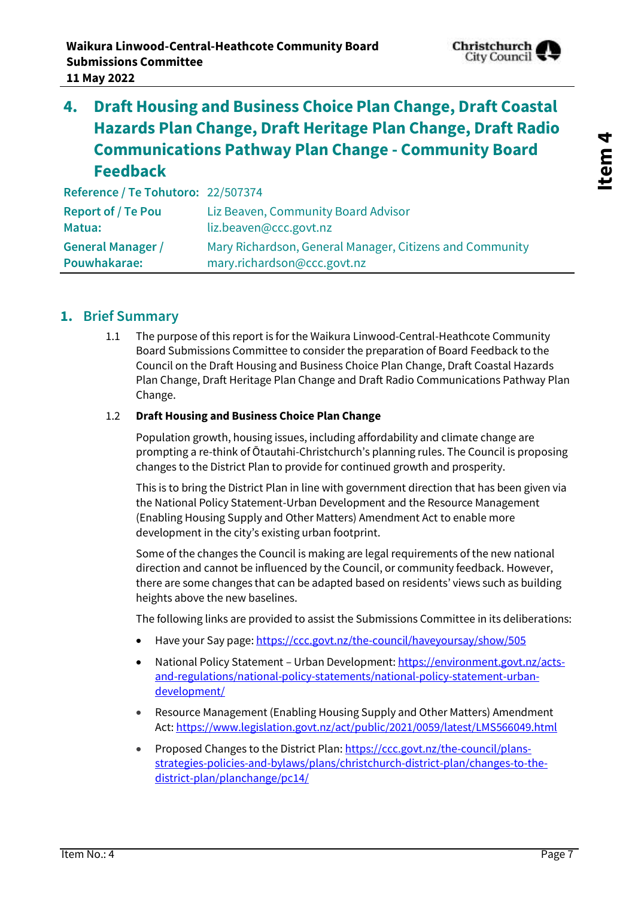

<span id="page-6-0"></span>**4. Draft Housing and Business Choice Plan Change, Draft Coastal Hazards Plan Change, Draft Heritage Plan Change, Draft Radio Communications Pathway Plan Change - Community Board Feedback**

**Reference / Te Tohutoro:** 22/507374

| <b>Report of / Te Pou</b> | Liz Beaven, Community Board Advisor                      |
|---------------------------|----------------------------------------------------------|
| Matua:                    | liz.beaven@ccc.govt.nz                                   |
| <b>General Manager /</b>  | Mary Richardson, General Manager, Citizens and Community |
| Pouwhakarae:              | mary.richardson@ccc.govt.nz                              |

#### **1. Brief Summary**

1.1 The purpose of this report is for the Waikura Linwood-Central-Heathcote Community Board Submissions Committee to consider the preparation of Board Feedback to the Council on the Draft Housing and Business Choice Plan Change, Draft Coastal Hazards Plan Change, Draft Heritage Plan Change and Draft Radio Communications Pathway Plan Change.

#### 1.2 **Draft Housing and Business Choice Plan Change**

Population growth, housing issues, including affordability and climate change are prompting a re-think of Ōtautahi-Christchurch's planning rules. The Council is proposing changes to the District Plan to provide for continued growth and prosperity.

This is to bring the District Plan in line with government direction that has been given via the [National Policy Statement-Urban Development](https://environment.govt.nz/acts-and-regulations/national-policy-statements/national-policy-statement-urban-development/) and the [Resource Management](https://www.legislation.govt.nz/act/public/2021/0059/latest/LMS566049.html)  [\(Enabling Housing Supply and Other Matters\) Amendment Act](https://www.legislation.govt.nz/act/public/2021/0059/latest/LMS566049.html) to enable more development in the city's existing urban footprint.

Some of the changes the Council is making are legal requirements of the new national direction and cannot be influenced by the Council, or community feedback. However, there are some changes that can be adapted based on residents' views such as building heights above the new baselines.

The following links are provided to assist the Submissions Committee in its deliberations:

- Have your Say page[: https://ccc.govt.nz/the-council/haveyoursay/show/505](https://ccc.govt.nz/the-council/haveyoursay/show/505)
- National Policy Statement Urban Development[: https://environment.govt.nz/acts](https://environment.govt.nz/acts-and-regulations/national-policy-statements/national-policy-statement-urban-development/)[and-regulations/national-policy-statements/national-policy-statement-urban](https://environment.govt.nz/acts-and-regulations/national-policy-statements/national-policy-statement-urban-development/)[development/](https://environment.govt.nz/acts-and-regulations/national-policy-statements/national-policy-statement-urban-development/)
- Resource Management (Enabling Housing Supply and Other Matters) Amendment Act[: https://www.legislation.govt.nz/act/public/2021/0059/latest/LMS566049.html](https://www.legislation.govt.nz/act/public/2021/0059/latest/LMS566049.html)
- Proposed Changes to the District Plan[: https://ccc.govt.nz/the-council/plans](https://ccc.govt.nz/the-council/plans-strategies-policies-and-bylaws/plans/christchurch-district-plan/changes-to-the-district-plan/planchange/pc14/)[strategies-policies-and-bylaws/plans/christchurch-district-plan/changes-to-the](https://ccc.govt.nz/the-council/plans-strategies-policies-and-bylaws/plans/christchurch-district-plan/changes-to-the-district-plan/planchange/pc14/)[district-plan/planchange/pc14/](https://ccc.govt.nz/the-council/plans-strategies-policies-and-bylaws/plans/christchurch-district-plan/changes-to-the-district-plan/planchange/pc14/)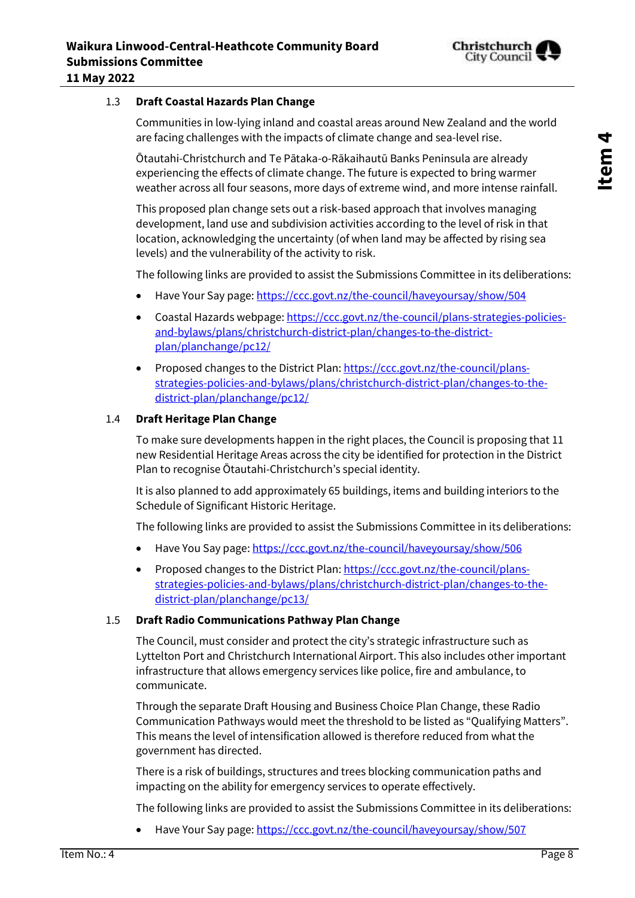

#### 1.3 **Draft Coastal Hazards Plan Change**

Communities in low-lying inland and coastal areas around New Zealand and the world are facing challenges with the impacts of climate change and sea-level rise.

Ōtautahi-Christchurch and Te Pātaka-o-Rākaihautū Banks Peninsula are already experiencing the effects of climate change. The future is expected to bring warmer weather across all four seasons, more days of extreme wind, and more intense rainfall.

This proposed plan change sets out a risk-based approach that involves managing development, land use and subdivision activities according to the level of risk in that location, acknowledging the uncertainty (of when land may be affected by rising sea levels) and the vulnerability of the activity to risk.

The following links are provided to assist the Submissions Committee in its deliberations:

- Have Your Say page[: https://ccc.govt.nz/the-council/haveyoursay/show/504](https://ccc.govt.nz/the-council/haveyoursay/show/504)
- Coastal Hazards webpage: [https://ccc.govt.nz/the-council/plans-strategies-policies](https://ccc.govt.nz/the-council/plans-strategies-policies-and-bylaws/plans/christchurch-district-plan/changes-to-the-district-plan/planchange/pc12/)[and-bylaws/plans/christchurch-district-plan/changes-to-the-district](https://ccc.govt.nz/the-council/plans-strategies-policies-and-bylaws/plans/christchurch-district-plan/changes-to-the-district-plan/planchange/pc12/)[plan/planchange/pc12/](https://ccc.govt.nz/the-council/plans-strategies-policies-and-bylaws/plans/christchurch-district-plan/changes-to-the-district-plan/planchange/pc12/)
- Proposed changes to the District Plan[: https://ccc.govt.nz/the-council/plans](https://ccc.govt.nz/the-council/plans-strategies-policies-and-bylaws/plans/christchurch-district-plan/changes-to-the-district-plan/planchange/pc12/)[strategies-policies-and-bylaws/plans/christchurch-district-plan/changes-to-the](https://ccc.govt.nz/the-council/plans-strategies-policies-and-bylaws/plans/christchurch-district-plan/changes-to-the-district-plan/planchange/pc12/)[district-plan/planchange/pc12/](https://ccc.govt.nz/the-council/plans-strategies-policies-and-bylaws/plans/christchurch-district-plan/changes-to-the-district-plan/planchange/pc12/)

#### 1.4 **Draft Heritage Plan Change**

To make sure developments happen in the right places, the Council is proposing that 11 new Residential Heritage Areas across the city be identified for protection in the District Plan to recognise Ōtautahi-Christchurch's special identity.

It is also planned to add approximately 65 buildings, items and building interiors to the Schedule of Significant Historic Heritage.

The following links are provided to assist the Submissions Committee in its deliberations:

- Have You Say page:<https://ccc.govt.nz/the-council/haveyoursay/show/506>
- Proposed changes to the District Plan[: https://ccc.govt.nz/the-council/plans](https://ccc.govt.nz/the-council/plans-strategies-policies-and-bylaws/plans/christchurch-district-plan/changes-to-the-district-plan/planchange/pc13/)[strategies-policies-and-bylaws/plans/christchurch-district-plan/changes-to-the](https://ccc.govt.nz/the-council/plans-strategies-policies-and-bylaws/plans/christchurch-district-plan/changes-to-the-district-plan/planchange/pc13/)[district-plan/planchange/pc13/](https://ccc.govt.nz/the-council/plans-strategies-policies-and-bylaws/plans/christchurch-district-plan/changes-to-the-district-plan/planchange/pc13/)

#### 1.5 **Draft Radio Communications Pathway Plan Change**

The Council, must consider and protect the city's strategic infrastructure such as Lyttelton Port and Christchurch International Airport. This also includes other important infrastructure that allows emergency services like police, fire and ambulance, to communicate.

Through the separate Draft Housing and Business Choice Plan Change, these Radio Communication Pathways would meet the threshold to be listed as "Qualifying Matters". This means the level of intensification allowed is therefore reduced from what the government has directed.

There is a risk of buildings, structures and trees blocking communication paths and impacting on the ability for emergency services to operate effectively.

The following links are provided to assist the Submissions Committee in its deliberations:

Have Your Say page[: https://ccc.govt.nz/the-council/haveyoursay/show/507](https://ccc.govt.nz/the-council/haveyoursay/show/507)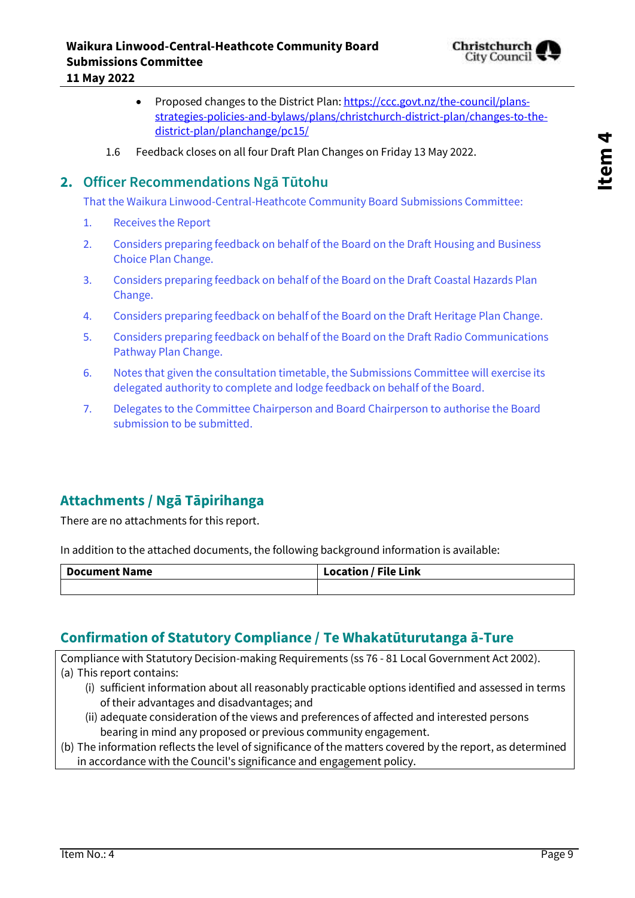

- Proposed changes to the District Plan[: https://ccc.govt.nz/the-council/plans](https://ccc.govt.nz/the-council/plans-strategies-policies-and-bylaws/plans/christchurch-district-plan/changes-to-the-district-plan/planchange/pc15/)[strategies-policies-and-bylaws/plans/christchurch-district-plan/changes-to-the](https://ccc.govt.nz/the-council/plans-strategies-policies-and-bylaws/plans/christchurch-district-plan/changes-to-the-district-plan/planchange/pc15/)[district-plan/planchange/pc15/](https://ccc.govt.nz/the-council/plans-strategies-policies-and-bylaws/plans/christchurch-district-plan/changes-to-the-district-plan/planchange/pc15/)
- 1.6 Feedback closes on all four Draft Plan Changes on Friday 13 May 2022.

### **2. Officer Recommendations Ngā Tūtohu**

That the Waikura Linwood-Central-Heathcote Community Board Submissions Committee:

- 1. Receives the Report
- 2. Considers preparing feedback on behalf of the Board on the Draft Housing and Business Choice Plan Change.
- 3. Considers preparing feedback on behalf of the Board on the Draft Coastal Hazards Plan Change.
- 4. Considers preparing feedback on behalf of the Board on the Draft Heritage Plan Change.
- 5. Considers preparing feedback on behalf of the Board on the Draft Radio Communications Pathway Plan Change.
- 6. Notes that given the consultation timetable, the Submissions Committee will exercise its delegated authority to complete and lodge feedback on behalf of the Board.
- 7. Delegates to the Committee Chairperson and Board Chairperson to authorise the Board submission to be submitted.

## **Attachments / Ngā Tāpirihanga**

There are no attachments for this report.

In addition to the attached documents, the following background information is available:

| <b>Document Name</b> | <b>Location / File Link</b> |
|----------------------|-----------------------------|
|                      |                             |

## **Confirmation of Statutory Compliance / Te Whakatūturutanga ā-Ture**

Compliance with Statutory Decision-making Requirements (ss 76 - 81 Local Government Act 2002). (a) This report contains:

- (i) sufficient information about all reasonably practicable options identified and assessed in terms of their advantages and disadvantages; and
- (ii) adequate consideration of the views and preferences of affected and interested persons bearing in mind any proposed or previous community engagement.
- (b) The information reflects the level of significance of the matters covered by the report, as determined in accordance with the Council's significance and engagement policy.